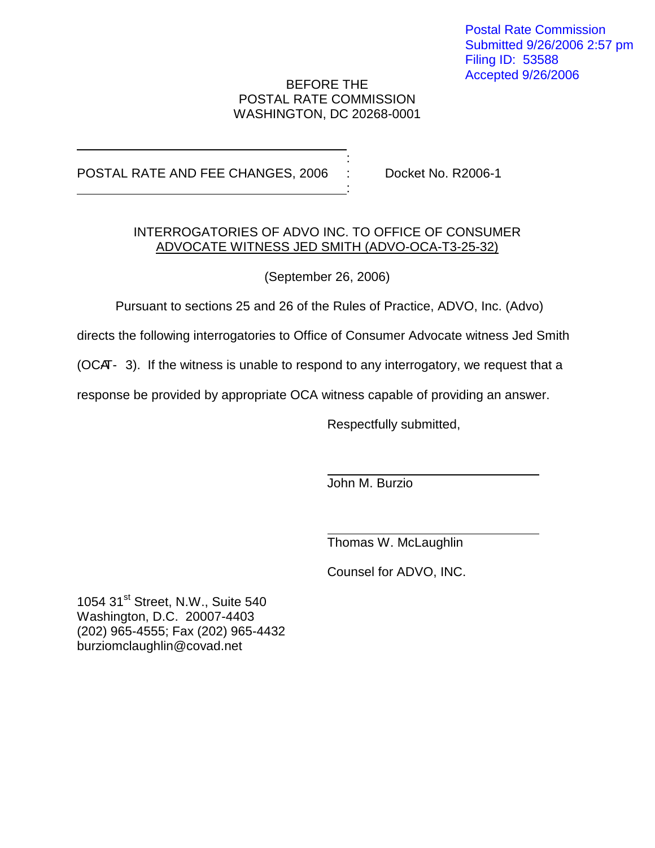Postal Rate Commission Submitted 9/26/2006 2:57 pm Filing ID: 53588 Accepted 9/26/2006

## BEFORE THE POSTAL RATE COMMISSION WASHINGTON, DC 20268-0001

:

:

## POSTAL RATE AND FEE CHANGES, 2006 : Docket No. R2006-1

## INTERROGATORIES OF ADVO INC. TO OFFICE OF CONSUMER ADVOCATE WITNESS JED SMITH (ADVO-OCA-T3-25-32)

(September 26, 2006)

Pursuant to sections 25 and 26 of the Rules of Practice, ADVO, Inc. (Advo)

directs the following interrogatories to Office of Consumer Advocate witness Jed Smith

( $OCH-3$ ). If the witness is unable to respond to any interrogatory, we request that a

response be provided by appropriate OCA witness capable of providing an answer.

Respectfully submitted,

John M. Burzio

Thomas W. McLaughlin

Counsel for ADVO, INC.

1054 31<sup>st</sup> Street, N.W., Suite 540 Washington, D.C. 20007-4403 (202) 965-4555; Fax (202) 965-4432 burziomclaughlin@covad.net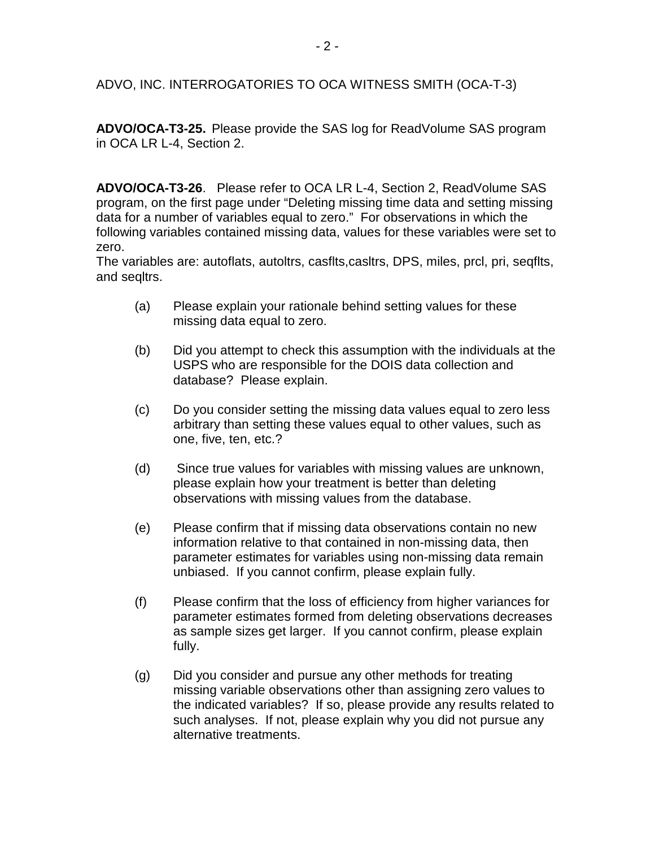**ADVO/OCA-T3-25.** Please provide the SAS log for ReadVolume SAS program in OCA LR L-4, Section 2.

**ADVO/OCA-T3-26**. Please refer to OCA LR L-4, Section 2, ReadVolume SAS program, on the first page under "Deleting missing time data and setting missing data for a number of variables equal to zero." For observations in which the following variables contained missing data, values for these variables were set to zero.

The variables are: autoflats, autoltrs, casflts,casltrs, DPS, miles, prcl, pri, seqflts, and seqltrs.

- (a) Please explain your rationale behind setting values for these missing data equal to zero.
- (b) Did you attempt to check this assumption with the individuals at the USPS who are responsible for the DOIS data collection and database? Please explain.
- (c) Do you consider setting the missing data values equal to zero less arbitrary than setting these values equal to other values, such as one, five, ten, etc.?
- (d) Since true values for variables with missing values are unknown, please explain how your treatment is better than deleting observations with missing values from the database.
- (e) Please confirm that if missing data observations contain no new information relative to that contained in non-missing data, then parameter estimates for variables using non-missing data remain unbiased. If you cannot confirm, please explain fully.
- (f) Please confirm that the loss of efficiency from higher variances for parameter estimates formed from deleting observations decreases as sample sizes get larger. If you cannot confirm, please explain fully.
- (g) Did you consider and pursue any other methods for treating missing variable observations other than assigning zero values to the indicated variables? If so, please provide any results related to such analyses. If not, please explain why you did not pursue any alternative treatments.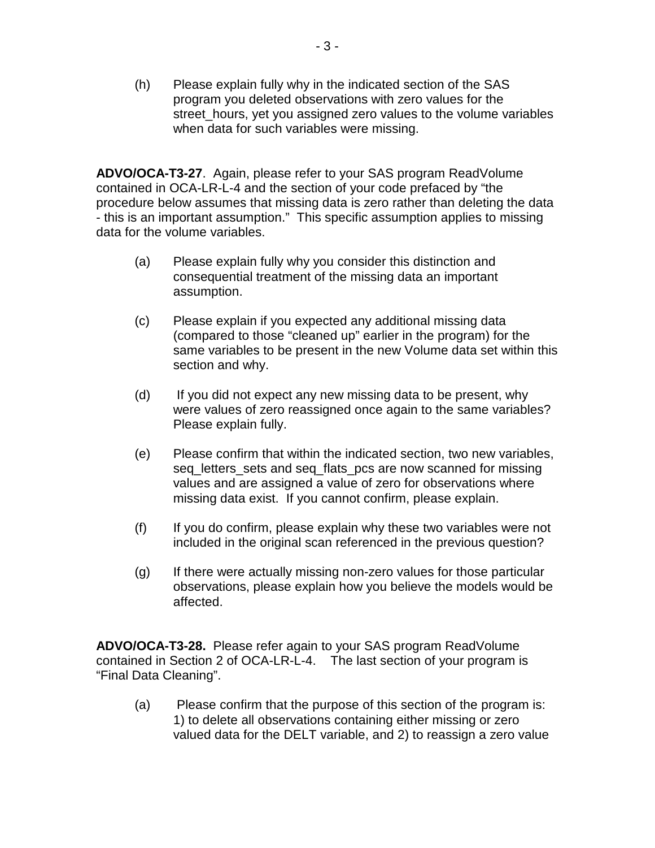(h) Please explain fully why in the indicated section of the SAS program you deleted observations with zero values for the street\_hours, yet you assigned zero values to the volume variables when data for such variables were missing.

**ADVO/OCA-T3-27**. Again, please refer to your SAS program ReadVolume contained in OCA-LR-L-4 and the section of your code prefaced by "the procedure below assumes that missing data is zero rather than deleting the data - this is an important assumption." This specific assumption applies to missing data for the volume variables.

- (a) Please explain fully why you consider this distinction and consequential treatment of the missing data an important assumption.
- (c) Please explain if you expected any additional missing data (compared to those "cleaned up" earlier in the program) for the same variables to be present in the new Volume data set within this section and why.
- (d) If you did not expect any new missing data to be present, why were values of zero reassigned once again to the same variables? Please explain fully.
- (e) Please confirm that within the indicated section, two new variables, seq\_letters\_sets and seq\_flats\_pcs are now scanned for missing values and are assigned a value of zero for observations where missing data exist. If you cannot confirm, please explain.
- (f) If you do confirm, please explain why these two variables were not included in the original scan referenced in the previous question?
- (g) If there were actually missing non-zero values for those particular observations, please explain how you believe the models would be affected.

**ADVO/OCA-T3-28.** Please refer again to your SAS program ReadVolume contained in Section 2 of OCA-LR-L-4. The last section of your program is "Final Data Cleaning".

(a) Please confirm that the purpose of this section of the program is: 1) to delete all observations containing either missing or zero valued data for the DELT variable, and 2) to reassign a zero value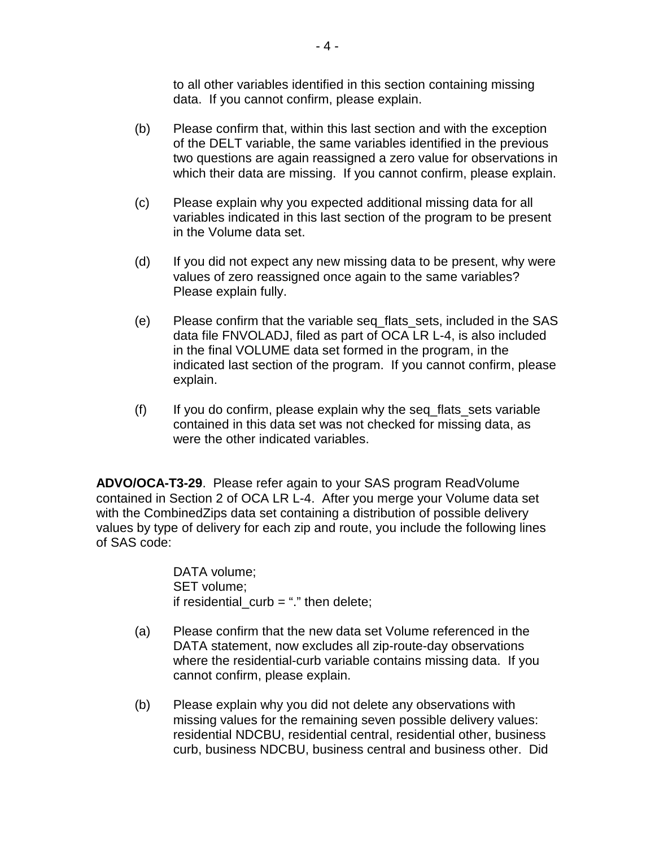to all other variables identified in this section containing missing data. If you cannot confirm, please explain.

- (b) Please confirm that, within this last section and with the exception of the DELT variable, the same variables identified in the previous two questions are again reassigned a zero value for observations in which their data are missing. If you cannot confirm, please explain.
- (c) Please explain why you expected additional missing data for all variables indicated in this last section of the program to be present in the Volume data set.
- (d) If you did not expect any new missing data to be present, why were values of zero reassigned once again to the same variables? Please explain fully.
- (e) Please confirm that the variable seq\_flats\_sets, included in the SAS data file FNVOLADJ, filed as part of OCA LR L-4, is also included in the final VOLUME data set formed in the program, in the indicated last section of the program. If you cannot confirm, please explain.
- (f) If you do confirm, please explain why the seq\_flats\_sets variable contained in this data set was not checked for missing data, as were the other indicated variables.

**ADVO/OCA-T3-29**. Please refer again to your SAS program ReadVolume contained in Section 2 of OCA LR L-4. After you merge your Volume data set with the CombinedZips data set containing a distribution of possible delivery values by type of delivery for each zip and route, you include the following lines of SAS code:

> DATA volume; SET volume; if residential\_curb = "." then delete;

- (a) Please confirm that the new data set Volume referenced in the DATA statement, now excludes all zip-route-day observations where the residential-curb variable contains missing data. If you cannot confirm, please explain.
- (b) Please explain why you did not delete any observations with missing values for the remaining seven possible delivery values: residential NDCBU, residential central, residential other, business curb, business NDCBU, business central and business other. Did